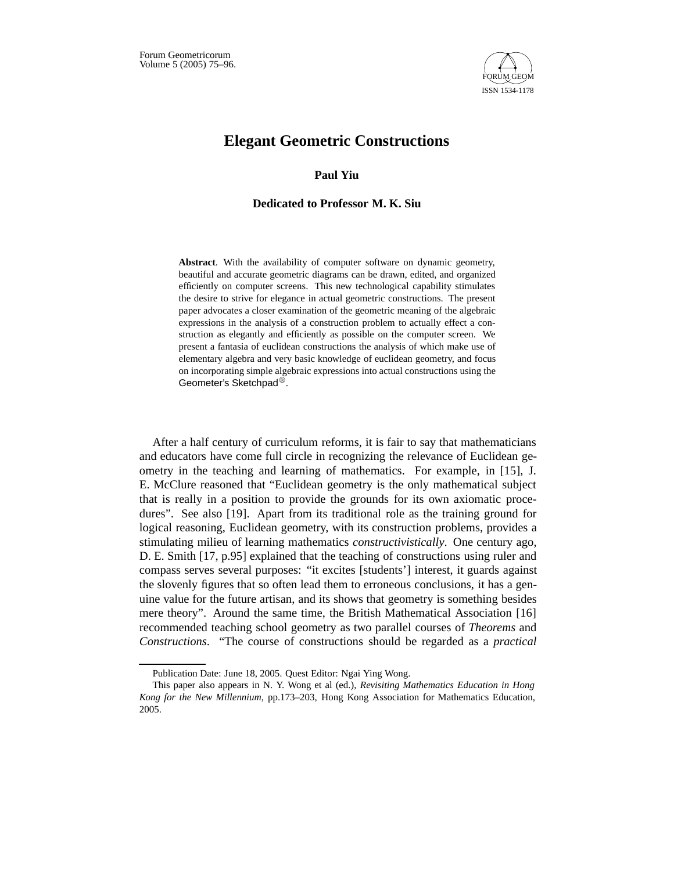

# **Elegant Geometric Constructions**

# **Paul Yiu**

## **Dedicated to Professor M. K. Siu**

**Abstract**. With the availability of computer software on dynamic geometry, beautiful and accurate geometric diagrams can be drawn, edited, and organized efficiently on computer screens. This new technological capability stimulates the desire to strive for elegance in actual geometric constructions. The present paper advocates a closer examination of the geometric meaning of the algebraic expressions in the analysis of a construction problem to actually effect a construction as elegantly and efficiently as possible on the computer screen. We present a fantasia of euclidean constructions the analysis of which make use of elementary algebra and very basic knowledge of euclidean geometry, and focus on incorporating simple algebraic expressions into actual constructions using the Geometer's Sketchpad<sup>®</sup>.

After a half century of curriculum reforms, it is fair to say that mathematicians and educators have come full circle in recognizing the relevance of Euclidean geometry in the teaching and learning of mathematics. For example, in [15], J. E. McClure reasoned that "Euclidean geometry is the only mathematical subject that is really in a position to provide the grounds for its own axiomatic procedures". See also [19]. Apart from its traditional role as the training ground for logical reasoning, Euclidean geometry, with its construction problems, provides a stimulating milieu of learning mathematics *constructivistically*. One century ago, D. E. Smith [17, p.95] explained that the teaching of constructions using ruler and compass serves several purposes: "it excites [students'] interest, it guards against the slovenly figures that so often lead them to erroneous conclusions, it has a genuine value for the future artisan, and its shows that geometry is something besides mere theory". Around the same time, the British Mathematical Association [16] recommended teaching school geometry as two parallel courses of *Theorems* and *Constructions*. "The course of constructions should be regarded as a *practical*

Publication Date: June 18, 2005. Quest Editor: Ngai Ying Wong.

This paper also appears in N. Y. Wong et al (ed.), *Revisiting Mathematics Education in Hong Kong for the New Millennium*, pp.173–203, Hong Kong Association for Mathematics Education, 2005.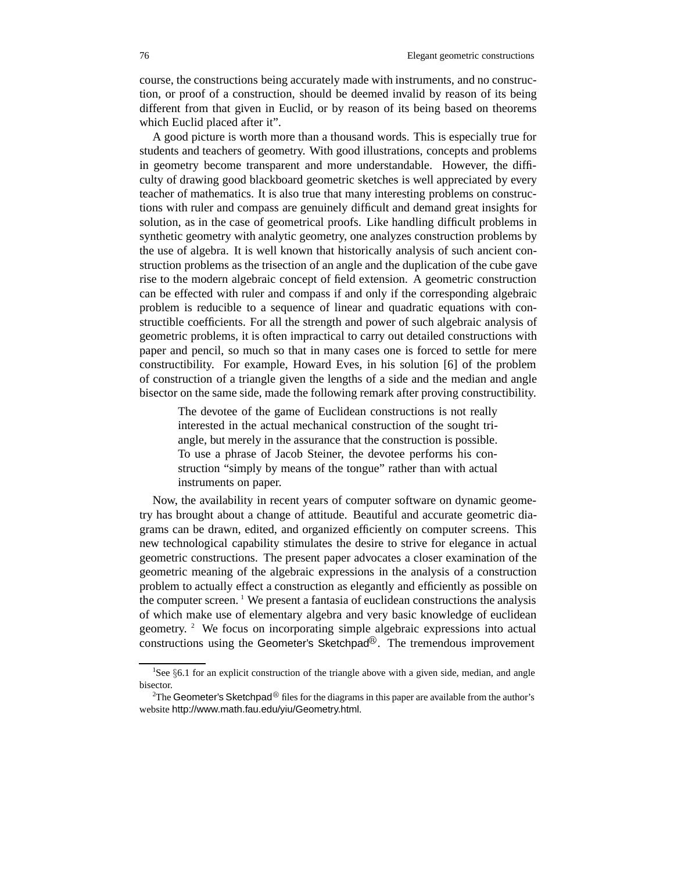course, the constructions being accurately made with instruments, and no construction, or proof of a construction, should be deemed invalid by reason of its being different from that given in Euclid, or by reason of its being based on theorems which Euclid placed after it".

A good picture is worth more than a thousand words. This is especially true for students and teachers of geometry. With good illustrations, concepts and problems in geometry become transparent and more understandable. However, the difficulty of drawing good blackboard geometric sketches is well appreciated by every teacher of mathematics. It is also true that many interesting problems on constructions with ruler and compass are genuinely difficult and demand great insights for solution, as in the case of geometrical proofs. Like handling difficult problems in synthetic geometry with analytic geometry, one analyzes construction problems by the use of algebra. It is well known that historically analysis of such ancient construction problems as the trisection of an angle and the duplication of the cube gave rise to the modern algebraic concept of field extension. A geometric construction can be effected with ruler and compass if and only if the corresponding algebraic problem is reducible to a sequence of linear and quadratic equations with constructible coefficients. For all the strength and power of such algebraic analysis of geometric problems, it is often impractical to carry out detailed constructions with paper and pencil, so much so that in many cases one is forced to settle for mere constructibility. For example, Howard Eves, in his solution [6] of the problem of construction of a triangle given the lengths of a side and the median and angle bisector on the same side, made the following remark after proving constructibility.

The devotee of the game of Euclidean constructions is not really interested in the actual mechanical construction of the sought triangle, but merely in the assurance that the construction is possible. To use a phrase of Jacob Steiner, the devotee performs his construction "simply by means of the tongue" rather than with actual instruments on paper.

Now, the availability in recent years of computer software on dynamic geometry has brought about a change of attitude. Beautiful and accurate geometric diagrams can be drawn, edited, and organized efficiently on computer screens. This new technological capability stimulates the desire to strive for elegance in actual geometric constructions. The present paper advocates a closer examination of the geometric meaning of the algebraic expressions in the analysis of a construction problem to actually effect a construction as elegantly and efficiently as possible on the computer screen.  $\frac{1}{1}$  We present a fantasia of euclidean constructions the analysis of which make use of elementary algebra and very basic knowledge of euclidean geometry. <sup>2</sup> We focus on incorporating simple algebraic expressions into actual constructions using the Geometer's Sketchpad $\mathbb{B}$ . The tremendous improvement

<sup>&</sup>lt;sup>1</sup>See §6.1 for an explicit construction of the triangle above with a given side, median, and angle bisector.

<sup>&</sup>lt;sup>2</sup>The Geometer's Sketchpad<sup>®</sup> files for the diagrams in this paper are available from the author's website http://www.math.fau.edu/yiu/Geometry.html.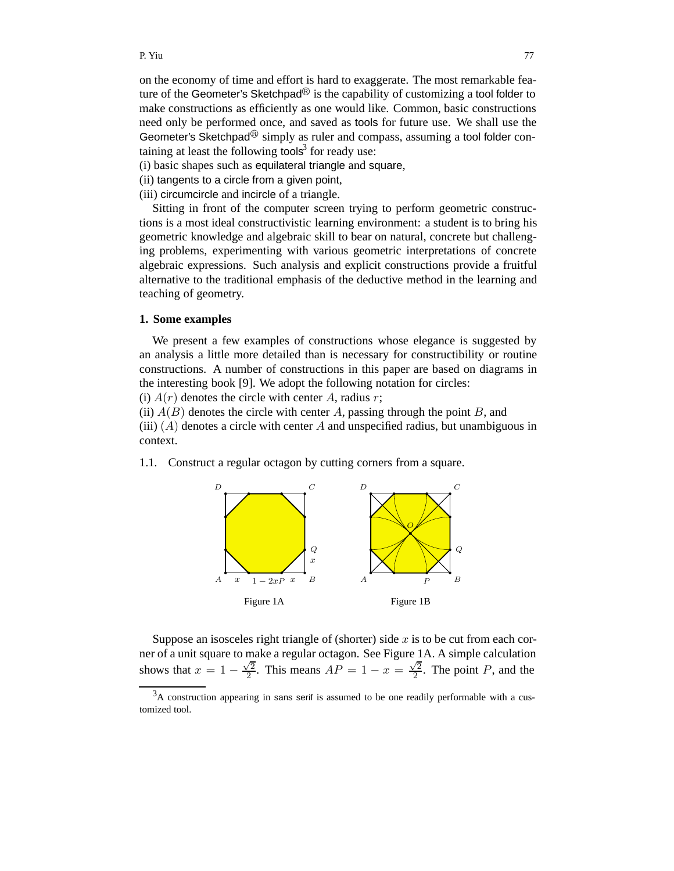on the economy of time and effort is hard to exaggerate. The most remarkable feature of the Geometer's Sketchpad<sup>®</sup> is the capability of customizing a tool folder to make constructions as efficiently as one would like. Common, basic constructions need only be performed once, and saved as tools for future use. We shall use the Geometer's Sketchpad<sup> $\circledR$ </sup> simply as ruler and compass, assuming a tool folder containing at least the following tools $3$  for ready use:

- (i) basic shapes such as equilateral triangle and square,
- (ii) tangents to a circle from a given point,
- (iii) circumcircle and incircle of a triangle.

Sitting in front of the computer screen trying to perform geometric constructions is a most ideal constructivistic learning environment: a student is to bring his geometric knowledge and algebraic skill to bear on natural, concrete but challenging problems, experimenting with various geometric interpretations of concrete algebraic expressions. Such analysis and explicit constructions provide a fruitful alternative to the traditional emphasis of the deductive method in the learning and teaching of geometry.

## **1. Some examples**

We present a few examples of constructions whose elegance is suggested by an analysis a little more detailed than is necessary for constructibility or routine constructions. A number of constructions in this paper are based on diagrams in the interesting book [9]. We adopt the following notation for circles:

(i)  $A(r)$  denotes the circle with center A, radius r;

(ii)  $A(B)$  denotes the circle with center A, passing through the point B, and (iii)  $(A)$  denotes a circle with center A and unspecified radius, but unambiguous in context.

1.1*.* Construct a regular octagon by cutting corners from a square.



Suppose an isosceles right triangle of (shorter) side  $x$  is to be cut from each corner of a unit square to make a regular octagon. See Figure 1A. A simple calculation shows that  $x = 1 - \frac{\sqrt{2}}{2}$ . This means  $AP = 1 - x = \frac{\sqrt{2}}{2}$ . The point P, and the

<sup>&</sup>lt;sup>3</sup>A construction appearing in sans serif is assumed to be one readily performable with a customized tool.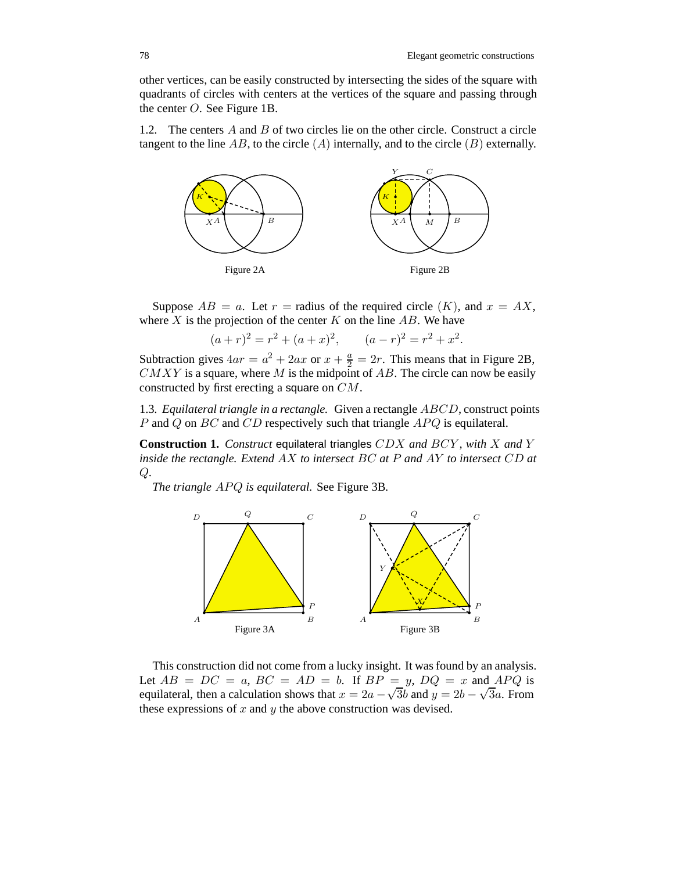other vertices, can be easily constructed by intersecting the sides of the square with quadrants of circles with centers at the vertices of the square and passing through the center O. See Figure 1B.

1.2*.* The centers A and B of two circles lie on the other circle. Construct a circle tangent to the line AB, to the circle  $(A)$  internally, and to the circle  $(B)$  externally.



Suppose  $AB = a$ . Let  $r =$  radius of the required circle  $(K)$ , and  $x = AX$ , where  $X$  is the projection of the center  $K$  on the line  $AB$ . We have

$$
(a+r)^2 = r^2 + (a+x)^2, \qquad (a-r)^2 = r^2 + x^2.
$$

Subtraction gives  $4ar = a^2 + 2ax$  or  $x + \frac{a}{2} = 2r$ . This means that in Figure 2B,  $CMXY$  is a square, where M is the midpoint of AB. The circle can now be easily constructed by first erecting a square on CM.

1.3*. Equilateral triangle in a rectangle.* Given a rectangle ABCD, construct points P and Q on  $BC$  and  $CD$  respectively such that triangle  $APQ$  is equilateral.

**Construction 1.** *Construct* equilateral triangles CDX *and* BCY *, with* X *and* Y *inside the rectangle. Extend* AX *to intersect* BC *at* P *and* AY *to intersect* CD *at* Q*.*

*The triangle APQ is equilateral.* See Figure 3B.



This construction did not come from a lucky insight. It was found by an analysis. Let  $AB = DC = a$ ,  $BC = AD = b$ . If  $BP = y$ ,  $DQ = x$  and  $APQ$  is equilateral, then a calculation shows that  $x = 2a - \sqrt{3}b$  and  $y = 2b - \sqrt{3}a$ . From these expressions of  $x$  and  $y$  the above construction was devised.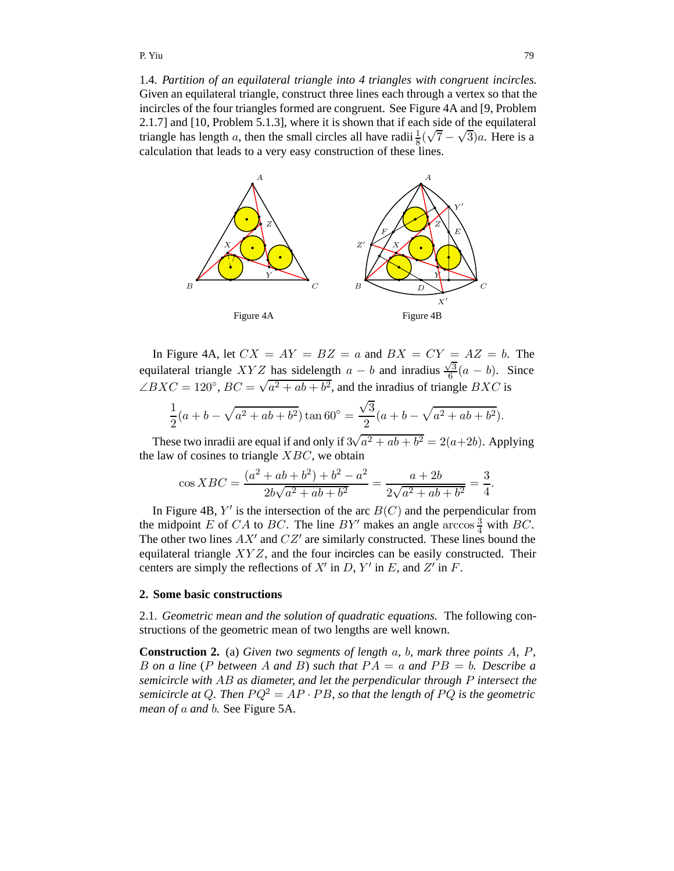1.4*. Partition of an equilateral triangle into 4 triangles with congruent incircles.* Given an equilateral triangle, construct three lines each through a vertex so that the incircles of the four triangles formed are congruent. See Figure 4A and [9, Problem 2.1.7] and [10, Problem 5.1.3], where it is shown that if each side of the equilateral triangle has length a, then the small circles all have radii  $\frac{1}{8}(\sqrt{7}-\sqrt{3})a$ . Here is a calculation that leads to a very easy construction of these lines.



In Figure 4A, let  $CX = AY = BZ = a$  and  $BX = CY = AZ = b$ . The equilateral triangle XYZ has sidelength  $a - b$  and inradius  $\frac{\sqrt{3}}{6}(a - b)$ . Since  $\angle BXC = 120^\circ$ ,  $BC = \sqrt{a^2 + ab + b^2}$ , and the inradius of triangle  $BXC$  is

$$
\frac{1}{2}(a+b-\sqrt{a^2+ab+b^2})\tan 60^\circ = \frac{\sqrt{3}}{2}(a+b-\sqrt{a^2+ab+b^2}).
$$

These two inradii are equal if and only if  $3\sqrt{a^2 + ab + b^2} = 2(a+2b)$ . Applying the law of cosines to triangle  $XBC$ , we obtain

$$
\cos XBC = \frac{(a^2 + ab + b^2) + b^2 - a^2}{2b\sqrt{a^2 + ab + b^2}} = \frac{a + 2b}{2\sqrt{a^2 + ab + b^2}} = \frac{3}{4}.
$$

In Figure 4B,  $Y'$  is the intersection of the arc  $B(C)$  and the perpendicular from the midpoint E of CA to BC. The line BY' makes an angle  $\arccos \frac{3}{4}$  with BC. The other two lines  $AX'$  and  $CZ'$  are similarly constructed. These lines bound the equilateral triangle  $XYZ$ , and the four incircles can be easily constructed. Their centers are simply the reflections of  $X'$  in D,  $Y'$  in E, and  $Z'$  in F.

#### **2. Some basic constructions**

2.1*. Geometric mean and the solution of quadratic equations.* The following constructions of the geometric mean of two lengths are well known.

**Construction 2.** (a) *Given two segments of length* a*,* b*, mark three points* A*,* P*,* B on a line (P between A and B) such that  $PA = a$  and  $PB = b$ . Describe a *semicircle with* AB *as diameter, and let the perpendicular through* P *intersect the semicircle at Q. Then*  $PQ^2 = AP \cdot PB$ *, so that the length of*  $PQ$  *is the geometric mean of* a *and* b*.* See Figure 5A.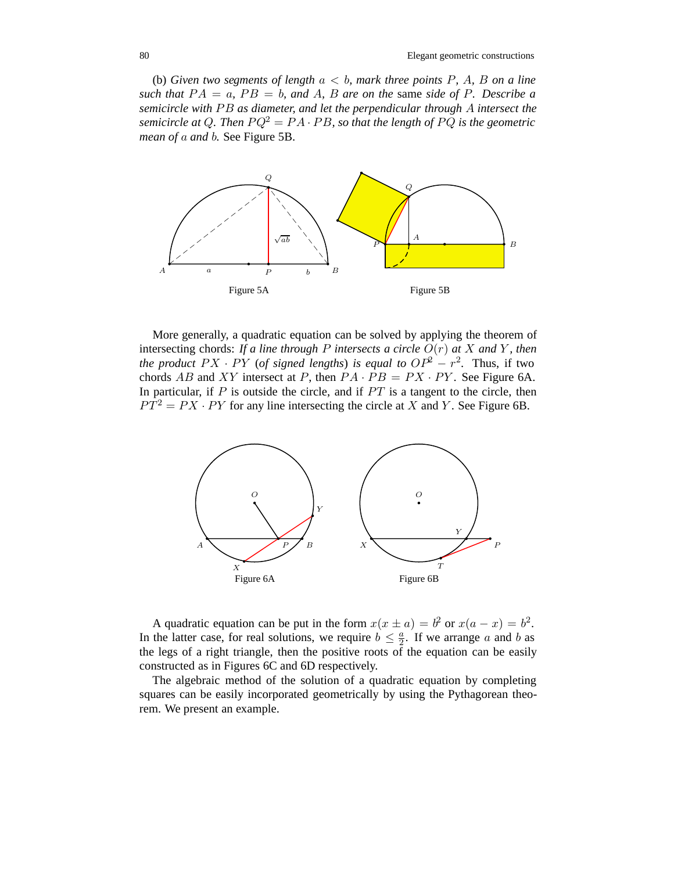(b) *Given two segments of length*  $a < b$ *, mark three points* P, A, B *on a line such that*  $PA = a$ ,  $PB = b$ , and A, B are on the same *side* of P. Describe a *semicircle with* PB as diameter, and let the perpendicular through A intersect the *semicircle at Q. Then*  $PQ^2 = PA \cdot PB$ , so that the length of PQ is the geometric *mean of* a *and* b*.* See Figure 5B.



More generally, a quadratic equation can be solved by applying the theorem of intersecting chords: *If a line through* P *intersects a circle* O(r) *at* X *and* Y *, then the product*  $PX \cdot PY$  (*of signed lengths*) *is equal to*  $OP^2 - r^2$ . Thus, if two chords AB and XY intersect at P, then  $PA \cdot PB = PX \cdot PY$ . See Figure 6A. In particular, if  $P$  is outside the circle, and if  $PT$  is a tangent to the circle, then  $PT^{2} = PX \cdot PY$  for any line intersecting the circle at X and Y. See Figure 6B.



A quadratic equation can be put in the form  $x(x \pm a) = b^2$  or  $x(a - x) = b^2$ . In the latter case, for real solutions, we require  $b \leq \frac{a}{2}$ . If we arrange a and b as the legs of a right triangle, then the positive roots of the equation can be easily constructed as in Figures 6C and 6D respectively.

The algebraic method of the solution of a quadratic equation by completing squares can be easily incorporated geometrically by using the Pythagorean theorem. We present an example.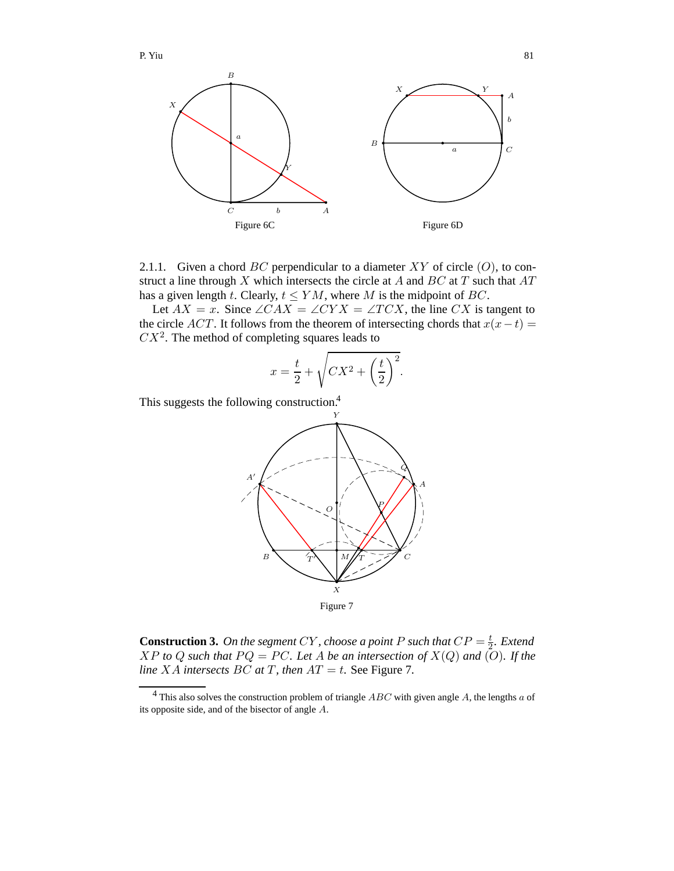

2.1.1. Given a chord  $BC$  perpendicular to a diameter  $XY$  of circle  $(O)$ , to construct a line through  $X$  which intersects the circle at  $A$  and  $BC$  at  $T$  such that  $AT$ has a given length t. Clearly,  $t \leq YM$ , where M is the midpoint of BC.

Let  $AX = x$ . Since  $\angle CAX = \angle CYX = \angle TCX$ , the line CX is tangent to the circle ACT. It follows from the theorem of intersecting chords that  $x(x-t) =$  $CX<sup>2</sup>$ . The method of completing squares leads to

$$
x = \frac{t}{2} + \sqrt{CX^2 + \left(\frac{t}{2}\right)^2}.
$$

This suggests the following construction.<sup>4</sup>



**Construction 3.** On the segment CY, choose a point P such that  $CP = \frac{t}{2}$ . Extend  $XP$  *to*  $Q$  *such that*  $PQ = PC$ *. Let*  $A$  *be an intersection of*  $X(Q)$  *and*  $(Q)$ *. If the line XA intersects BC at T*, *then*  $AT = t$ *.* See Figure 7.

<sup>4</sup> This also solves the construction problem of triangle *ABC* with given angle *A*, the lengths *a* of its opposite side, and of the bisector of angle *A*.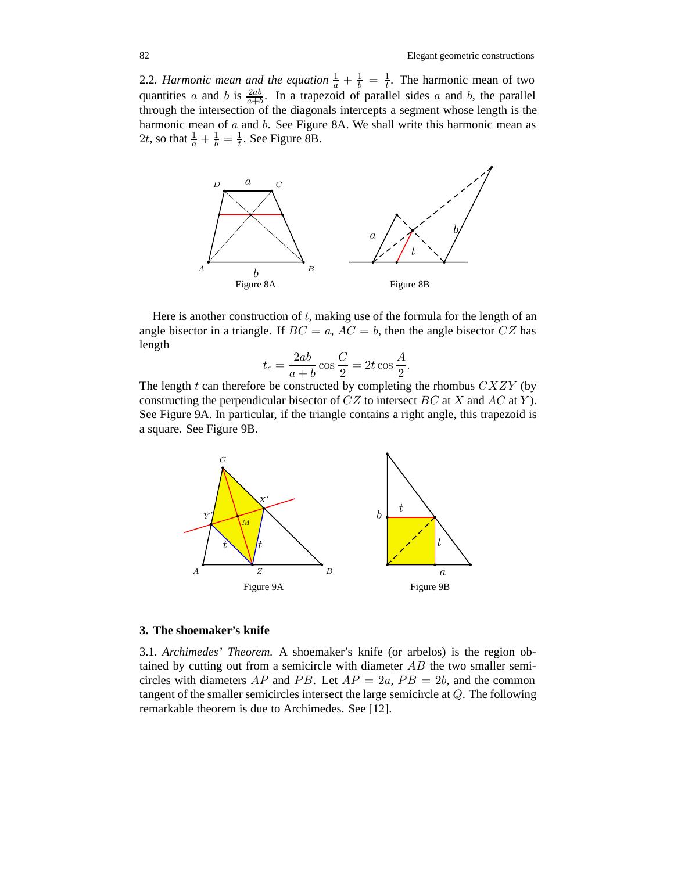2.2. *Harmonic mean and the equation*  $\frac{1}{a} + \frac{1}{b} = \frac{1}{t}$ . The harmonic mean of two quantities a and b is  $\frac{2ab}{a+b}$ . In a trapezoid of parallel sides a and b, the parallel through the intersection of the diagonals intercepts a segment whose length is the harmonic mean of a and b. See Figure 8A. We shall write this harmonic mean as 2*t*, so that  $\frac{1}{a} + \frac{1}{b} = \frac{1}{t}$ . See Figure 8B.



Here is another construction of  $t$ , making use of the formula for the length of an angle bisector in a triangle. If  $BC = a$ ,  $AC = b$ , then the angle bisector  $CZ$  has length

$$
t_c = \frac{2ab}{a+b}\cos\frac{C}{2} = 2t\cos\frac{A}{2}.
$$

The length  $t$  can therefore be constructed by completing the rhombus  $CXXZY$  (by constructing the perpendicular bisector of  $CZ$  to intersect BC at X and AC at Y). See Figure 9A. In particular, if the triangle contains a right angle, this trapezoid is a square. See Figure 9B.



## **3. The shoemaker's knife**

3.1*. Archimedes' Theorem.* A shoemaker's knife (or arbelos) is the region obtained by cutting out from a semicircle with diameter AB the two smaller semicircles with diameters AP and PB. Let  $AP = 2a$ ,  $PB = 2b$ , and the common tangent of the smaller semicircles intersect the large semicircle at Q. The following remarkable theorem is due to Archimedes. See [12].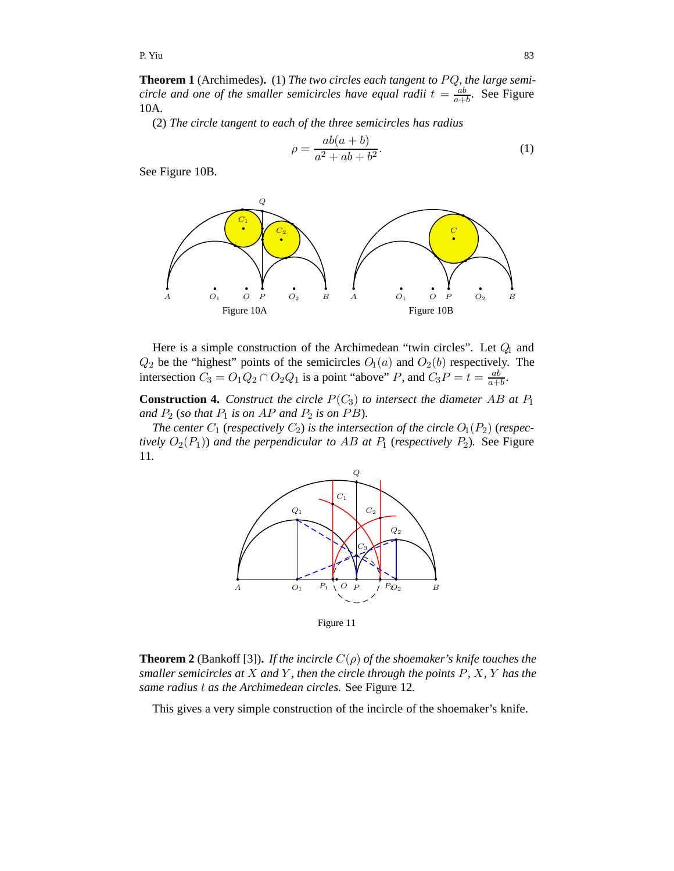**Theorem 1** (Archimedes). (1) *The two circles each tangent to PQ*, *the large semicircle and one of the smaller semicircles have equal radii*  $t = \frac{ab}{a+b}$ . See Figure 10A*.*

(2) *The circle tangent to each of the three semicircles has radius*

$$
\rho = \frac{ab(a+b)}{a^2 + ab + b^2}.\tag{1}
$$

See Figure 10B*.*



Here is a simple construction of the Archimedean "twin circles". Let  $Q_1$  and  $Q_2$  be the "highest" points of the semicircles  $O_1(a)$  and  $O_2(b)$  respectively. The intersection  $C_3 = O_1 Q_2 \cap O_2 Q_1$  is a point "above" P, and  $C_3 P = t = \frac{ab}{a+b}$ .

**Construction 4.** *Construct the circle*  $P(C_3)$  *to intersect the diameter* AB *at*  $P_1$ *and*  $P_2$  (*so that*  $P_1$  *is on AP and*  $P_2$  *is on PB*).

*The center*  $C_1$  (*respectively*  $C_2$ ) *is the intersection of the circle*  $O_1(P_2)$  (*respectively*  $O_2(P_1)$ *) and the perpendicular to AB at*  $P_1$  (*respectively*  $P_2$ *).* See Figure 11*.*



Figure 11

**Theorem 2** (Bankoff [3]). *If the incircle*  $C(\rho)$  *of the shoemaker's knife touches the smaller semicircles at* X *and* Y *, then the circle through the points* P*,* X*,* Y *has the same radius* t *as the Archimedean circles.* See Figure 12*.*

This gives a very simple construction of the incircle of the shoemaker's knife.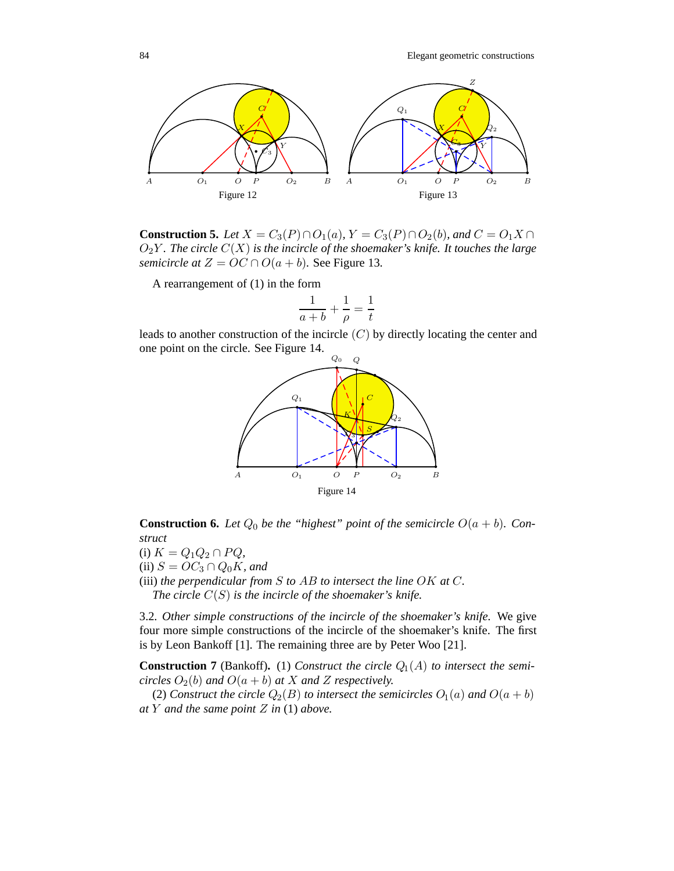

**Construction 5.** *Let X* =  $C_3(P) \cap O_1(a)$ *, Y* =  $C_3(P) \cap O_2(b)$ *, and C* =  $O_1X \cap$  $O_2Y$ *. The circle*  $C(X)$  *is the incircle of the shoemaker's knife. It touches the large semicircle at*  $Z = OC \cap O(a + b)$ *.* See Figure 13*.* 

A rearrangement of (1) in the form

$$
\frac{1}{a+b} + \frac{1}{\rho} = \frac{1}{t}
$$

leads to another construction of the incircle  $(C)$  by directly locating the center and one point on the circle. See Figure 14.



**Construction 6.** Let  $Q_0$  be the "highest" point of the semicircle  $O(a + b)$ . Con*struct*

(i)  $K = Q_1 Q_2 \cap P Q$ , (ii)  $S = OC_3 \cap Q_0K$ *, and* (iii) *the perpendicular from* S *to* AB *to intersect the line* OK *at* C*.*

*The circle* C(S) *is the incircle of the shoemaker's knife.*

3.2*. Other simple constructions of the incircle of the shoemaker's knife.* We give four more simple constructions of the incircle of the shoemaker's knife. The first is by Leon Bankoff [1]. The remaining three are by Peter Woo [21].

**Construction 7** (Bankoff). (1) *Construct the circle*  $Q_1(A)$  *to intersect the semicircles*  $O_2(b)$  *and*  $O(a + b)$  *at* X *and* Z *respectively.* 

(2) *Construct the circle*  $Q_2(B)$  *to intersect the semicircles*  $O_1(a)$  *and*  $O(a + b)$ *at* Y *and the same point* Z *in* (1) *above.*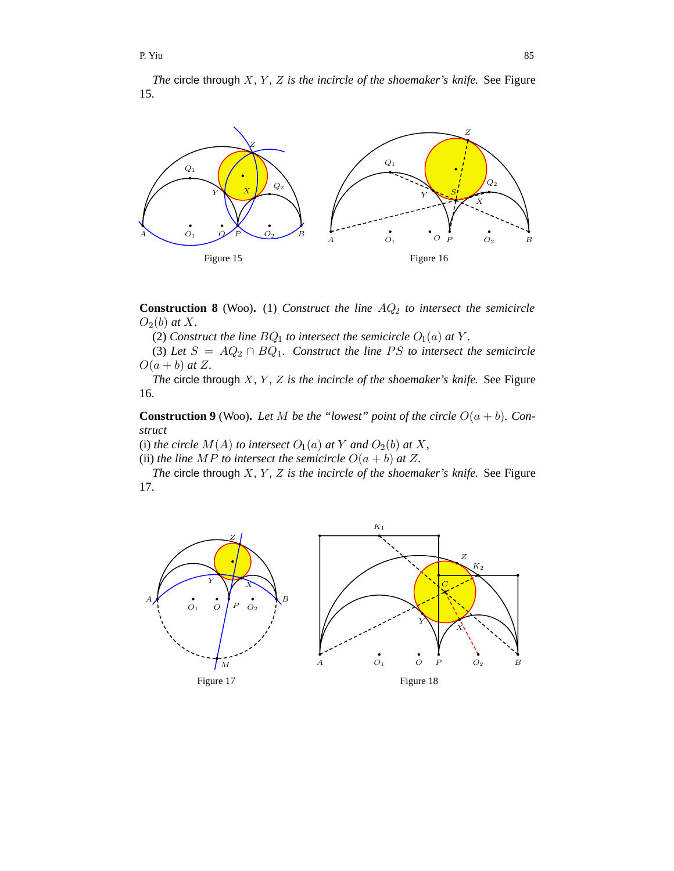*The* circle through X, Y, Z is the incircle of the shoemaker's knife. See Figure 15.



**Construction 8** (Woo). (1) *Construct the line*  $AQ_2$  *to intersect the semicircle*  $O_2(b)$  *at* X.

(2) *Construct the line*  $BQ_1$  *to intersect the semicircle*  $O_1(a)$  *at* Y.

(3) Let  $S = AQ_2 \cap BQ_1$ . Construct the line PS to intersect the semicircle  $O(a + b)$  *at*  $Z$ *.* 

*The* circle through X, Y, Z is the incircle of the shoemaker's knife. See Figure 16.

**Construction 9** (Woo). Let M be the "lowest" point of the circle  $O(a + b)$ . Con*struct*

(i) *the circle*  $M(A)$  *to intersect*  $O_1(a)$  *at* Y *and*  $O_2(b)$  *at* X,

(ii) *the line*  $MP$  *to intersect the semicircle*  $O(a + b)$  *at* Z.

*The* circle through *X*, *Y*, *Z* is the incircle of the shoemaker's knife. See Figure 17.

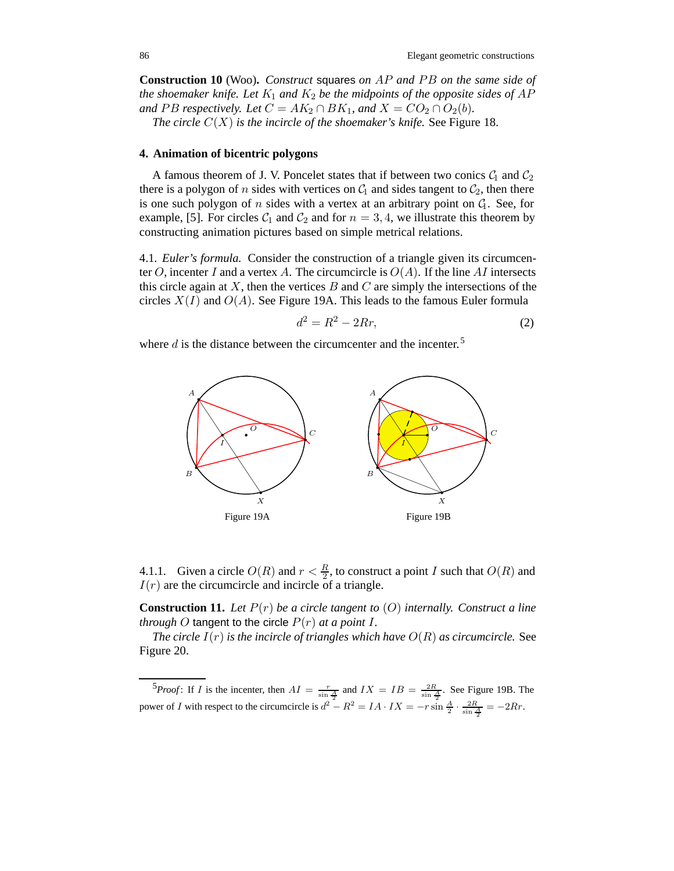**Construction 10** (Woo)**.** *Construct* squares *on* AP *and* P B *on the same side of the shoemaker knife. Let*  $K_1$  *and*  $K_2$  *be the midpoints of the opposite sides of AP and* PB respectively. Let  $C = AK_2 \cap BK_1$ , and  $X = CO_2 \cap O_2(b)$ . *The circle*  $C(X)$  *is the incircle of the shoemaker's knife.* See Figure 18.

#### **4. Animation of bicentric polygons**

A famous theorem of J. V. Poncelet states that if between two conics  $C_1$  and  $C_2$ there is a polygon of n sides with vertices on  $C_1$  and sides tangent to  $C_2$ , then there is one such polygon of  $n$  sides with a vertex at an arbitrary point on  $G_1$ . See, for example, [5]. For circles  $C_1$  and  $C_2$  and for  $n = 3, 4$ , we illustrate this theorem by constructing animation pictures based on simple metrical relations.

4.1*. Euler's formula.* Consider the construction of a triangle given its circumcenter O, incenter I and a vertex A. The circumcircle is  $O(A)$ . If the line AI intersects this circle again at X, then the vertices  $B$  and  $C$  are simply the intersections of the circles  $X(I)$  and  $O(A)$ . See Figure 19A. This leads to the famous Euler formula

$$
d^2 = R^2 - 2Rr,\t\t(2)
$$

where  $d$  is the distance between the circumcenter and the incenter.<sup>5</sup>



4.1.1*.* Given a circle  $O(R)$  and  $r < \frac{R}{2}$ , to construct a point I such that  $O(R)$  and  $I(r)$  are the circumcircle and incircle of a triangle.

**Construction 11.** *Let* P(r) *be a circle tangent to* (O) *internally. Construct a line through* O tangent to the circle  $P(r)$  *at a point* I.

*The circle*  $I(r)$  *is the incircle of triangles which have*  $O(R)$  *as circumcircle.* See Figure 20.

<sup>5</sup>*Proof*: If *I* is the incenter, then  $AI = \frac{r}{\sin \frac{A}{2}}$  and  $IX = IB = \frac{2R}{\sin \frac{A}{2}}$ . See Figure 19B. The power of *I* with respect to the circumcircle is  $d^2 - R^2 = IA \cdot IX = -r \sin \frac{A}{2} \cdot \frac{2R}{\sin \frac{A}{2}} = -2Rr$ .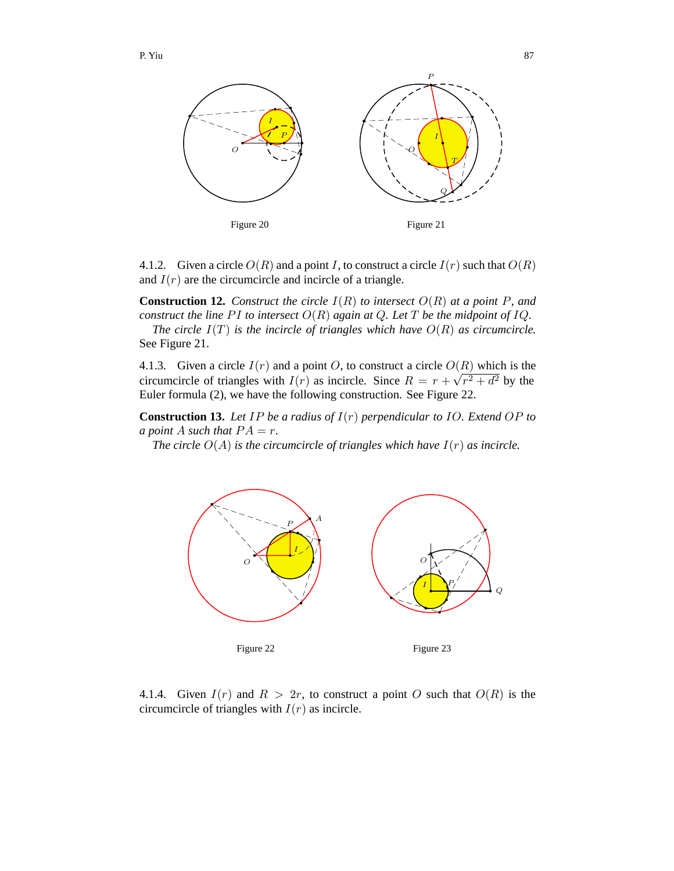

4.1.2. Given a circle  $O(R)$  and a point I, to construct a circle  $I(r)$  such that  $O(R)$ and  $I(r)$  are the circumcircle and incircle of a triangle.

**Construction 12.** *Construct the circle*  $I(R)$  *to intersect*  $O(R)$  *at a point* P, and *construct the line PI to intersect*  $O(R)$  *again at Q. Let* T *be the midpoint of IQ.* 

*The circle* I(T) *is the incircle of triangles which have* O(R) *as circumcircle.* See Figure 21.

4.1.3. Given a circle  $I(r)$  and a point O, to construct a circle  $O(R)$  which is the circumcircle of triangles with  $I(r)$  as incircle. Since  $R = r + \sqrt{r^2 + d^2}$  by the Euler formula (2), we have the following construction. See Figure 22.

**Construction 13.** *Let* IP *be a radius of* I(r) *perpendicular to* IO*. Extend* OP *to a point* A *such that*  $PA = r$ .

*The circle*  $O(A)$  *is the circumcircle of triangles which have*  $I(r)$  *as incircle.* 



4.1.4*.* Given  $I(r)$  and  $R > 2r$ , to construct a point O such that  $O(R)$  is the circumcircle of triangles with  $I(r)$  as incircle.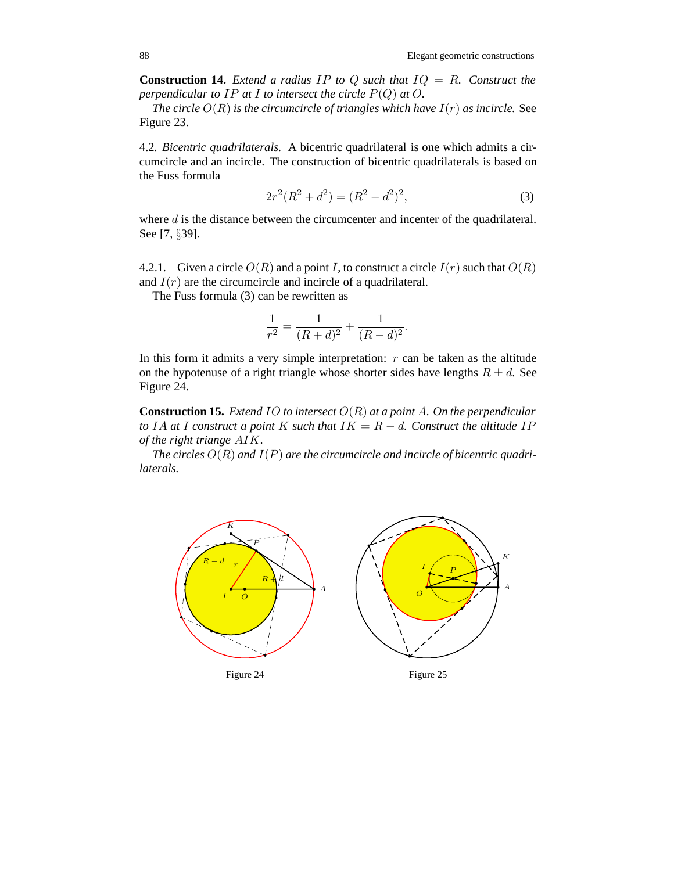**Construction 14.** *Extend a radius* IP *to* Q *such that* IQ = R*. Construct the perpendicular to IP at I to intersect the circle*  $P(Q)$  *at O.* 

*The circle*  $O(R)$  *is the circumcircle of triangles which have*  $I(r)$  *as incircle.* See Figure 23.

4.2*. Bicentric quadrilaterals.* A bicentric quadrilateral is one which admits a circumcircle and an incircle. The construction of bicentric quadrilaterals is based on the Fuss formula

$$
2r^2(R^2 + d^2) = (R^2 - d^2)^2,
$$
\n(3)

where  $d$  is the distance between the circumcenter and incenter of the quadrilateral. See [7, §39].

4.2.1. Given a circle  $O(R)$  and a point I, to construct a circle  $I(r)$  such that  $O(R)$ and  $I(r)$  are the circumcircle and incircle of a quadrilateral.

The Fuss formula (3) can be rewritten as

$$
\frac{1}{r^2} = \frac{1}{(R+d)^2} + \frac{1}{(R-d)^2}.
$$

In this form it admits a very simple interpretation:  $r$  can be taken as the altitude on the hypotenuse of a right triangle whose shorter sides have lengths  $R \pm d$ . See Figure 24.

**Construction 15.** *Extend* IO *to intersect* O(R) *at a point* A*. On the perpendicular to* IA at I construct a point K such that  $IK = R - d$ . Construct the altitude IP *of the right triange* AIK*.*

The circles  $O(R)$  and  $I(P)$  are the circumcircle and incircle of bicentric quadri*laterals.*

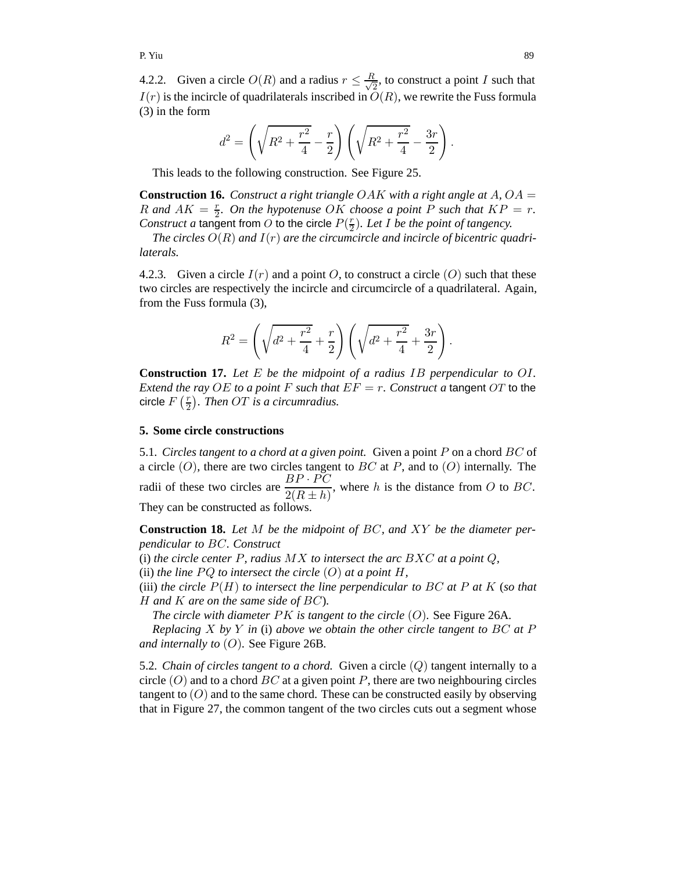4.2.2. Given a circle  $O(R)$  and a radius  $r \leq \frac{R}{\sqrt{2}}$ , to construct a point I such that  $I(r)$  is the incircle of quadrilaterals inscribed in  $O(R)$ , we rewrite the Fuss formula (3) in the form

$$
d^{2} = \left(\sqrt{R^{2} + \frac{r^{2}}{4}} - \frac{r}{2}\right)\left(\sqrt{R^{2} + \frac{r^{2}}{4}} - \frac{3r}{2}\right).
$$

This leads to the following construction. See Figure 25.

**Construction 16.** Construct a right triangle OAK with a right angle at A, OA  $=$ R and  $AK = \frac{r}{2}$ . On the hypotenuse OK choose a point P such that  $KP = r$ . *Construct a* tangent from O to the circle  $P(\frac{r}{2})$ *. Let I be the point of tangency.* 

*The circles* O(R) *and* I(r) *are the circumcircle and incircle of bicentric quadrilaterals.*

4.2.3. Given a circle  $I(r)$  and a point O, to construct a circle  $(O)$  such that these two circles are respectively the incircle and circumcircle of a quadrilateral. Again, from the Fuss formula (3),

$$
R^{2} = \left(\sqrt{d^{2} + \frac{r^{2}}{4}} + \frac{r}{2}\right)\left(\sqrt{d^{2} + \frac{r^{2}}{4}} + \frac{3r}{2}\right)
$$

.

**Construction 17.** *Let* E *be the midpoint of a radius* IB *perpendicular to* OI*. Extend the ray* OE *to a point* F *such that*  $EF = r$ *. Construct a tangent OT to the* circle  $F\left(\frac{r}{2}\right)$ . Then OT is a circumradius.

# **5. Some circle constructions**

5.1*. Circles tangent to a chord at a given point.* Given a point P on a chord BC of a circle  $(O)$ , there are two circles tangent to BC at P, and to  $(O)$  internally. The radii of these two circles are  $\frac{BP \cdot \vec{PC}}{Q(D+1)}$  $\frac{2R+P}{2(R\pm h)}$ , where h is the distance from O to BC. They can be constructed as follows.

**Construction 18.** *Let* M *be the midpoint of* BC*, and* XY *be the diameter perpendicular to* BC*. Construct*

(i) *the circle center* P*, radius* MX *to intersect the arc* BXC *at a point* Q*,*

(ii) *the line*  $PQ$  *to intersect the circle*  $(O)$  *at a point*  $H$ *,* 

(iii) *the circle*  $P(H)$  *to intersect the line perpendicular to*  $BC$  *at*  $P$  *at*  $K$  (*so that* H *and* K *are on the same side of* BC)*.*

*The circle with diameter* PK *is tangent to the circle* (O)*.* See Figure 26A*.*

*Replacing* X *by* Y *in* (i) *above we obtain the other circle tangent to* BC *at* P *and internally to* (O)*.* See Figure 26B*.*

5.2. *Chain of circles tangent to a chord.* Given a circle  $(Q)$  tangent internally to a circle  $(O)$  and to a chord  $BC$  at a given point P, there are two neighbouring circles tangent to  $(O)$  and to the same chord. These can be constructed easily by observing that in Figure 27, the common tangent of the two circles cuts out a segment whose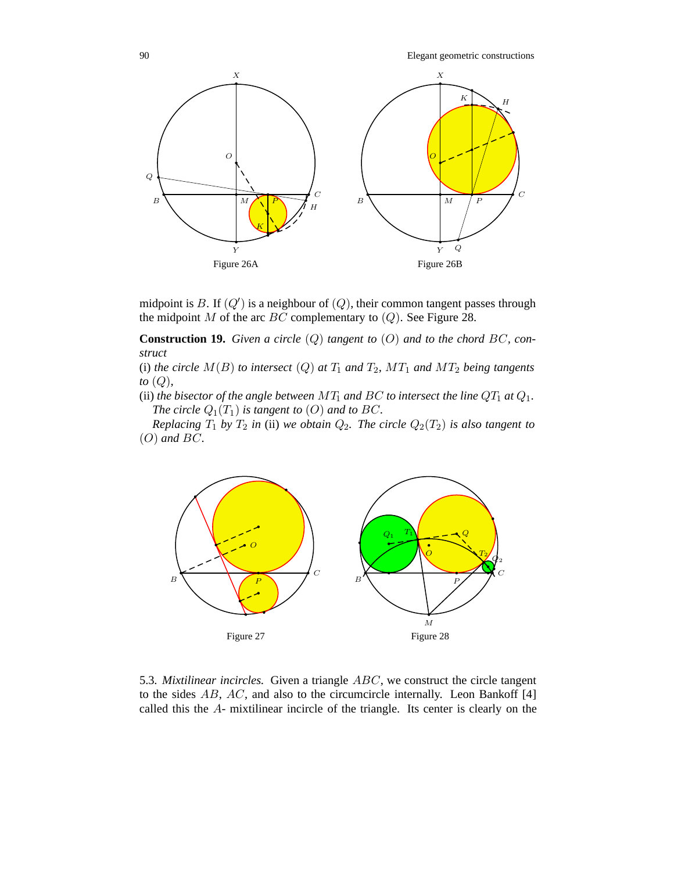

Figure 26B

midpoint is B. If  $(Q')$  is a neighbour of  $(Q)$ , their common tangent passes through the midpoint  $M$  of the arc  $BC$  complementary to  $(Q)$ . See Figure 28.

Figure 26A

**Construction 19.** *Given a circle* (Q) *tangent to* (O) *and to the chord* BC*, construct*

(i) *the circle*  $M(B)$  *to intersect*  $(Q)$  *at*  $T_1$  *and*  $T_2$ *,*  $MT_1$  *and*  $MT_2$  *being tangents to* (Q)*,*

(ii) *the bisector of the angle between*  $MT_1$  *and BC to intersect the line*  $QT_1$  *at*  $Q_1$ *. The circle*  $Q_1(T_1)$  *is tangent to*  $(O)$  *and to*  $BC$ *.* 

*Replacing*  $T_1$  *by*  $T_2$  *in* (ii) *we obtain*  $Q_2$ *. The circle*  $Q_2(T_2)$  *is also tangent to* (O) *and* BC*.*



5.3*. Mixtilinear incircles.* Given a triangle ABC, we construct the circle tangent to the sides  $AB$ ,  $AC$ , and also to the circumcircle internally. Leon Bankoff [4] called this the A- mixtilinear incircle of the triangle. Its center is clearly on the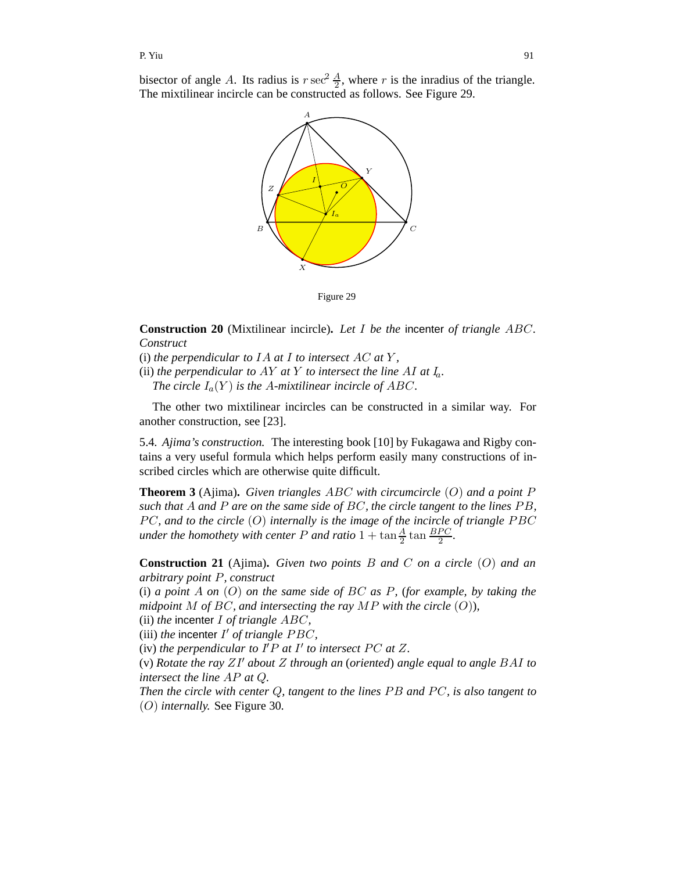bisector of angle A. Its radius is  $r \sec^2 \frac{A}{2}$ , where r is the inradius of the triangle. The mixtilinear incircle can be constructed as follows. See Figure 29.



Figure 29

**Construction 20** (Mixtilinear incircle)**.** *Let* I *be the* incenter *of triangle* ABC*. Construct*

(i) *the perpendicular to* IA *at* I *to intersect* AC *at* Y *,*

(ii) *the perpendicular to AY at Y to intersect the line AI at*  $I_a$ *. The circle*  $I_a(Y)$  *is the A-mixtilinear incircle of ABC.* 

The other two mixtilinear incircles can be constructed in a similar way. For another construction, see [23].

5.4*. Ajima's construction.* The interesting book [10] by Fukagawa and Rigby contains a very useful formula which helps perform easily many constructions of inscribed circles which are otherwise quite difficult.

**Theorem 3** (Ajima)**.** *Given triangles* ABC *with circumcircle* (O) *and a point* P *such that* A *and* P *are on the same side of* BC*, the circle tangent to the lines* P B*,* PC, and to the circle (O) internally is the image of the incircle of triangle PBC *under the homothety with center*  $P$  *and ratio*  $1 + \tan \frac{A}{2} \tan \frac{BPC}{2}$ .

**Construction 21** (Ajima)**.** *Given two points* B *and* C *on a circle* (O) *and an arbitrary point* P*, construct*

(i) *a point* A *on* (O) *on the same side of* BC *as* P*,* (*for example, by taking the midpoint* M *of* BC*, and intersecting the ray* MP *with the circle* (O))*,*

(ii) *the* incenter I *of triangle* ABC*,*

(iii) *the* incenter  $I'$  *of triangle PBC*,

(iv) the perpendicular to  $I'P$  at  $I'$  to intersect PC at  $Z$ .

(v) *Rotate the ray* ZI *about* Z *through an* (*oriented*) *angle equal to angle* BAI *to intersect the line* AP *at* Q*.*

*Then the circle with center Q, tangent to the lines PB and PC, is also tangent to* (O) *internally.* See Figure 30*.*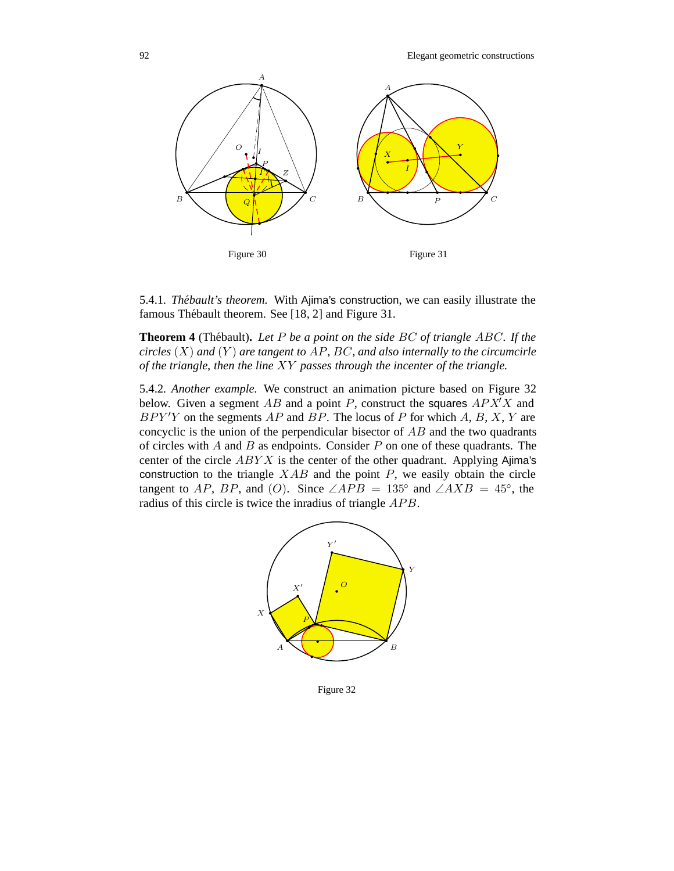

5.4.1*. Thebault's theorem. ´* With Ajima's construction, we can easily illustrate the famous Thébault theorem. See [18, 2] and Figure 31.

**Theorem 4** (Thébault). Let P be a point on the side BC of triangle ABC. If the *circles* (X) *and* (Y ) *are tangent to* AP*,* BC*, and also internally to the circumcirle of the triangle, then the line* XY *passes through the incenter of the triangle.*

5.4.2*. Another example.* We construct an animation picture based on Figure 32 below. Given a segment AB and a point P, construct the squares  $APX^{\dagger}X$  and  $BPY'Y$  on the segments  $AP$  and  $BP$ . The locus of P for which A, B, X, Y are concyclic is the union of the perpendicular bisector of  $AB$  and the two quadrants of circles with A and B as endpoints. Consider P on one of these quadrants. The center of the circle  $ABYX$  is the center of the other quadrant. Applying Ajima's construction to the triangle  $XAB$  and the point  $P$ , we easily obtain the circle tangent to AP, BP, and (O). Since  $\angle APB = 135^\circ$  and  $\angle AXB = 45^\circ$ , the radius of this circle is twice the inradius of triangle APB.



Figure 32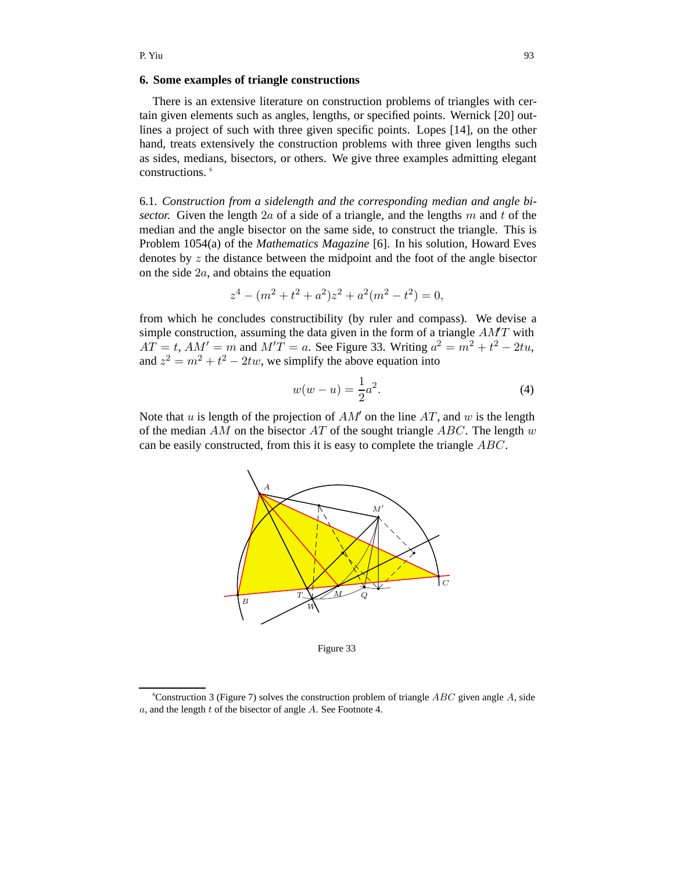#### **6. Some examples of triangle constructions**

There is an extensive literature on construction problems of triangles with certain given elements such as angles, lengths, or specified points. Wernick [20] outlines a project of such with three given specific points. Lopes [14], on the other hand, treats extensively the construction problems with three given lengths such as sides, medians, bisectors, or others. We give three examples admitting elegant constructions.<sup>6</sup>

6.1*. Construction from a sidelength and the corresponding median and angle bisector.* Given the length  $2a$  of a side of a triangle, and the lengths m and t of the median and the angle bisector on the same side, to construct the triangle. This is Problem 1054(a) of the *Mathematics Magazine* [6]. In his solution, Howard Eves denotes by z the distance between the midpoint and the foot of the angle bisector on the side 2a, and obtains the equation

$$
z4 - (m2 + t2 + a2)z2 + a2(m2 - t2) = 0,
$$

from which he concludes constructibility (by ruler and compass). We devise a simple construction, assuming the data given in the form of a triangle  $AMT$  with  $AT = t$ ,  $AM' = m$  and  $M'T = a$ . See Figure 33. Writing  $a^2 = m^2 + t^2 - 2tu$ , and  $z^2 = m^2 + t^2 - 2tw$ , we simplify the above equation into

$$
w(w - u) = \frac{1}{2}a^2.
$$
 (4)

Note that u is length of the projection of  $AM'$  on the line  $AT$ , and w is the length of the median AM on the bisector AT of the sought triangle ABC. The length w can be easily constructed, from this it is easy to complete the triangle ABC.



Figure 33

<sup>6</sup> Construction 3 (Figure 7) solves the construction problem of triangle *ABC* given angle *A*, side *a*, and the length *t* of the bisector of angle *A*. See Footnote 4.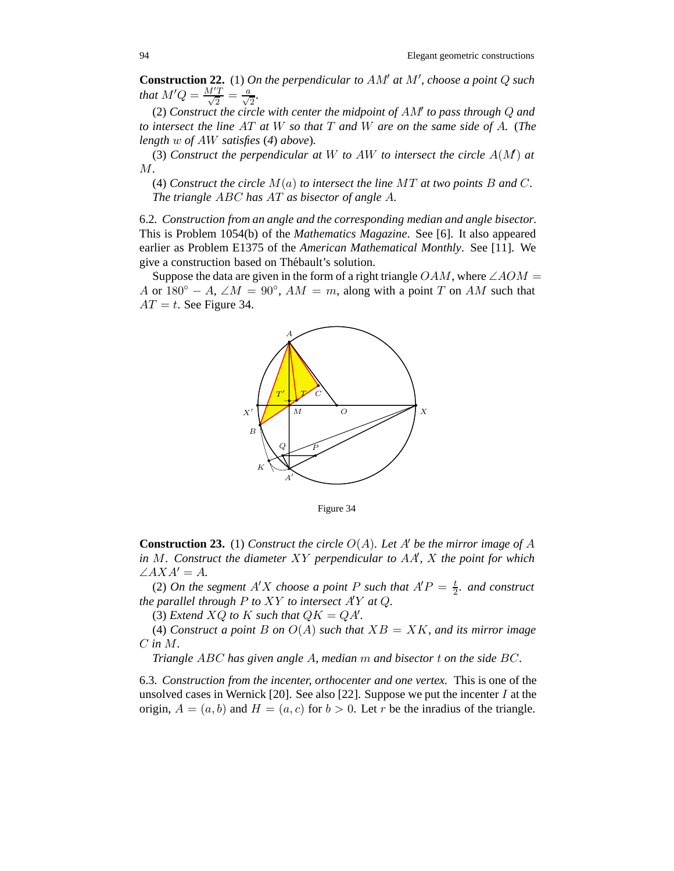**Construction 22.** (1) *On the perpendicular to* AM *at* M *, choose a point* Q *such that*  $M'Q = \frac{M'T}{\sqrt{2}} = \frac{a}{\sqrt{2}}$ *.* 

(2) *Construct the circle with center the midpoint of* AM *to pass through* Q *and to intersect the line* AT *at* W *so that* T *and* W *are on the same side of* A*.* (*The length* w *of* AW *satisfies* (*4*) *above*)*.*

(3) Construct the perpendicular at  $W$  to  $AW$  to intersect the circle  $A(M)$  at M*.*

(4) *Construct the circle* M(a) *to intersect the line* MT *at two points* B *and* C*. The triangle* ABC *has* AT *as bisector of angle* A*.*

6.2*. Construction from an angle and the corresponding median and angle bisector.* This is Problem 1054(b) of the *Mathematics Magazine*. See [6]. It also appeared earlier as Problem E1375 of the *American Mathematical Monthly*. See [11]. We give a construction based on Thébault's solution.

Suppose the data are given in the form of a right triangle  $OAM$ , where  $\angle AOM =$ A or  $180° - A$ ,  $\angle M = 90°$ ,  $AM = m$ , along with a point T on AM such that  $AT = t$ . See Figure 34.



Figure 34

**Construction 23.** (1) *Construct the circle*  $O(A)$ *. Let* A' *be the mirror image of* A *in* M*. Construct the diameter* XY *perpendicular to* AA *,* X *the point for which*  $\angle AXA' = A$ .

(2) *On the segment*  $A'X$  *choose a point*  $P$  *such that*  $A'P = \frac{t}{2}$ *. and construct the parallel through* P *to* XY *to intersect* A Y *at* Q*.*

(3) *Extend*  $XQ$  *to*  $K$  *such that*  $QK = QA'$ *.* 

(4) *Construct a point* B *on*  $O(A)$  *such that*  $XB = XK$ *, and its mirror image* C *in* M*.*

*Triangle* ABC *has given angle* A*, median* m *and bisector* t *on the side* BC*.*

6.3*. Construction from the incenter, orthocenter and one vertex.* This is one of the unsolved cases in Wernick [20]. See also [22]. Suppose we put the incenter  $I$  at the origin,  $A = (a, b)$  and  $H = (a, c)$  for  $b > 0$ . Let r be the inradius of the triangle.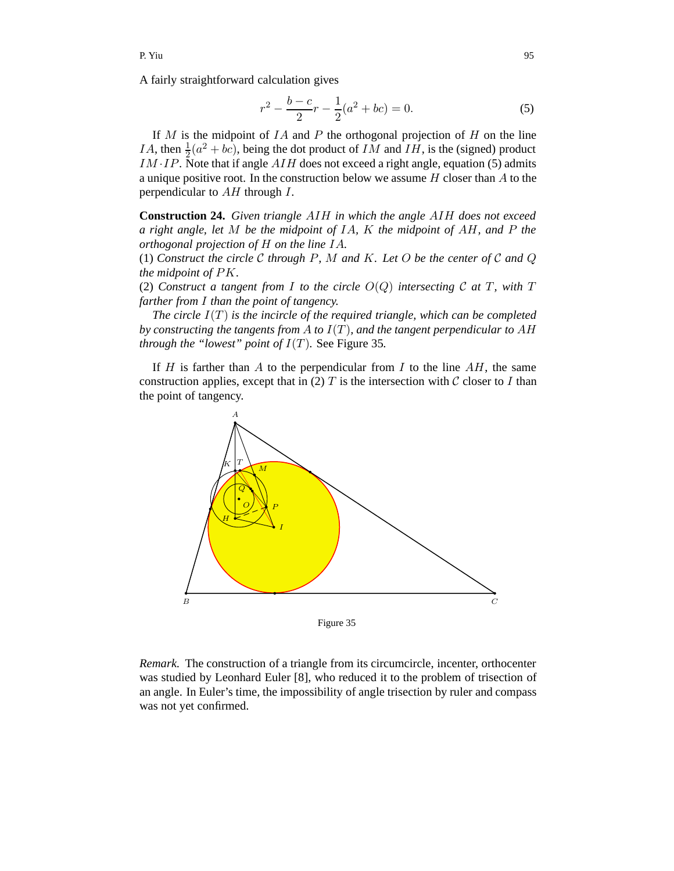A fairly straightforward calculation gives

$$
r^{2} - \frac{b - c}{2}r - \frac{1}{2}(a^{2} + bc) = 0.
$$
 (5)

If  $M$  is the midpoint of  $IA$  and  $P$  the orthogonal projection of  $H$  on the line *IA*, then  $\frac{1}{2}(a^2 + bc)$ , being the dot product of *IM* and *IH*, is the (signed) product  $IM \cdot IP$ . Note that if angle  $AIH$  does not exceed a right angle, equation (5) admits a unique positive root. In the construction below we assume  $H$  closer than  $A$  to the perpendicular to  $AH$  through  $I$ .

**Construction 24.** *Given triangle* AIH *in which the angle* AIH *does not exceed a right angle, let* M *be the midpoint of* IA*,* K *the midpoint of* AH*, and* P *the orthogonal projection of* H *on the line* IA*.*

(1) *Construct the circle* <sup>C</sup> *through* <sup>P</sup>*,* <sup>M</sup> *and* <sup>K</sup>*. Let* <sup>O</sup> *be the center of* <sup>C</sup> *and* <sup>Q</sup> *the midpoint of* PK*.*

(2) *Construct a tangent from I to the circle*  $O(Q)$  *intersecting*  $C$  *at*  $T$ *, with*  $T$ *farther from* I *than the point of tangency.*

*The circle* I(T) *is the incircle of the required triangle, which can be completed by constructing the tangents from* A *to* I(T)*, and the tangent perpendicular to* AH *through the "lowest" point of*  $I(T)$ *. See Figure 35.* 

If  $H$  is farther than  $A$  to the perpendicular from  $I$  to the line  $AH$ , the same construction applies, except that in (2)  $T$  is the intersection with  $\mathcal C$  closer to  $I$  than the point of tangency.



Figure 35

*Remark.* The construction of a triangle from its circumcircle, incenter, orthocenter was studied by Leonhard Euler [8], who reduced it to the problem of trisection of an angle. In Euler's time, the impossibility of angle trisection by ruler and compass was not yet confirmed.